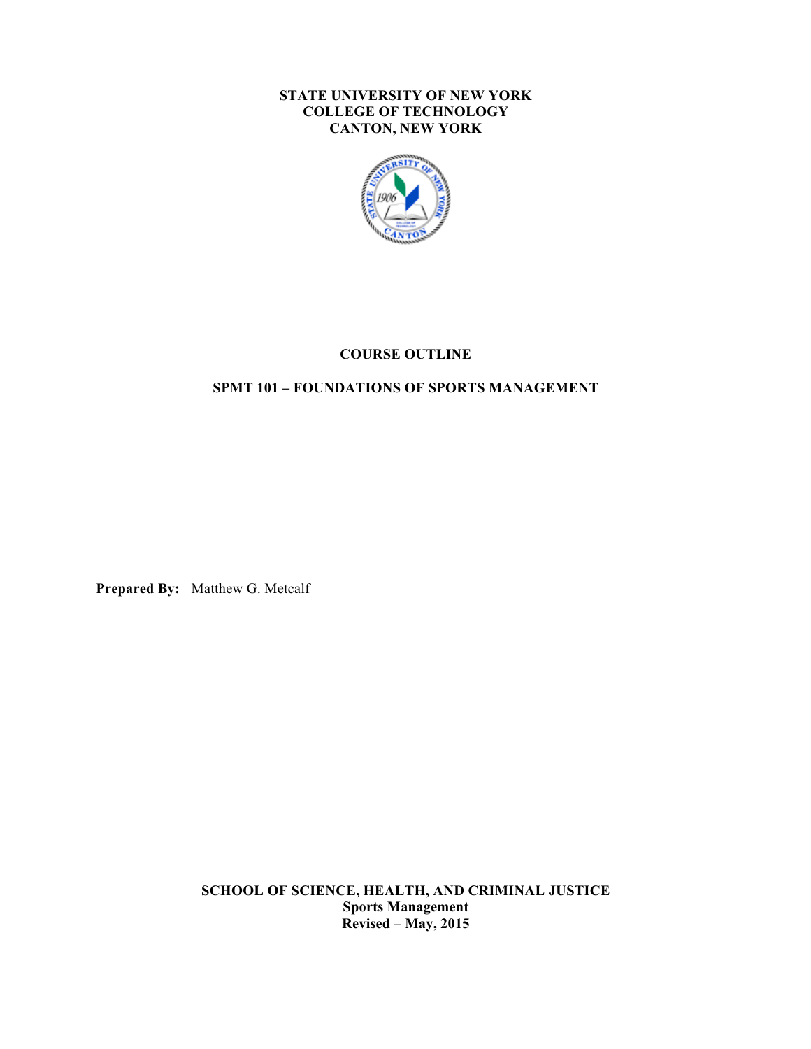#### **STATE UNIVERSITY OF NEW YORK COLLEGE OF TECHNOLOGY CANTON, NEW YORK**



# **COURSE OUTLINE**

## **SPMT 101 – FOUNDATIONS OF SPORTS MANAGEMENT**

**Prepared By:** Matthew G. Metcalf

 **SCHOOL OF SCIENCE, HEALTH, AND CRIMINAL JUSTICE Sports Management Revised – May, 2015**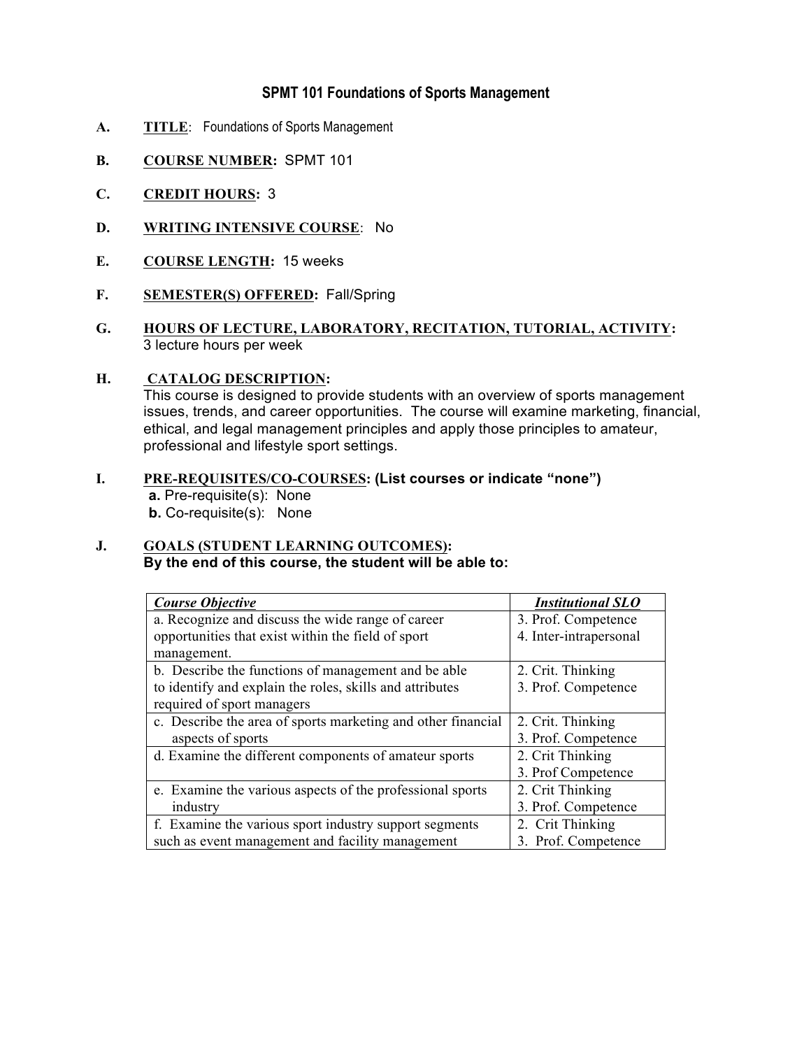# **SPMT 101 Foundations of Sports Management**

- **A. TITLE**: Foundations of Sports Management
- **B. COURSE NUMBER:** SPMT 101
- **C. CREDIT HOURS:** 3
- **D. WRITING INTENSIVE COURSE**: No
- **E. COURSE LENGTH:** 15 weeks
- **F. SEMESTER(S) OFFERED:** Fall/Spring
- **G. HOURS OF LECTURE, LABORATORY, RECITATION, TUTORIAL, ACTIVITY:**  3 lecture hours per week

#### **H. CATALOG DESCRIPTION:**

 This course is designed to provide students with an overview of sports management ethical, and legal management principles and apply those principles to amateur, professional and lifestyle sport settings. issues, trends, and career opportunities. The course will examine marketing, financial,

 **I. PRE-REQUISITES/CO-COURSES: (List courses or indicate "none") a.** Pre-requisite(s): None **b.** Co-requisite(s): None

#### **J. GOALS (STUDENT LEARNING OUTCOMES): By the end of this course, the student will be able to:**

| <b>Course Objective</b>                                      | <b>Institutional SLO</b> |
|--------------------------------------------------------------|--------------------------|
| a. Recognize and discuss the wide range of career            | 3. Prof. Competence      |
| opportunities that exist within the field of sport           | 4. Inter-intrapersonal   |
| management.                                                  |                          |
| b. Describe the functions of management and be able          | 2. Crit. Thinking        |
| to identify and explain the roles, skills and attributes     | 3. Prof. Competence      |
| required of sport managers                                   |                          |
| c. Describe the area of sports marketing and other financial | 2. Crit. Thinking        |
| aspects of sports                                            | 3. Prof. Competence      |
| d. Examine the different components of amateur sports        | 2. Crit Thinking         |
|                                                              | 3. Prof Competence       |
| e. Examine the various aspects of the professional sports    | 2. Crit Thinking         |
| industry                                                     | 3. Prof. Competence      |
| f. Examine the various sport industry support segments       | 2. Crit Thinking         |
| such as event management and facility management             | 3. Prof. Competence      |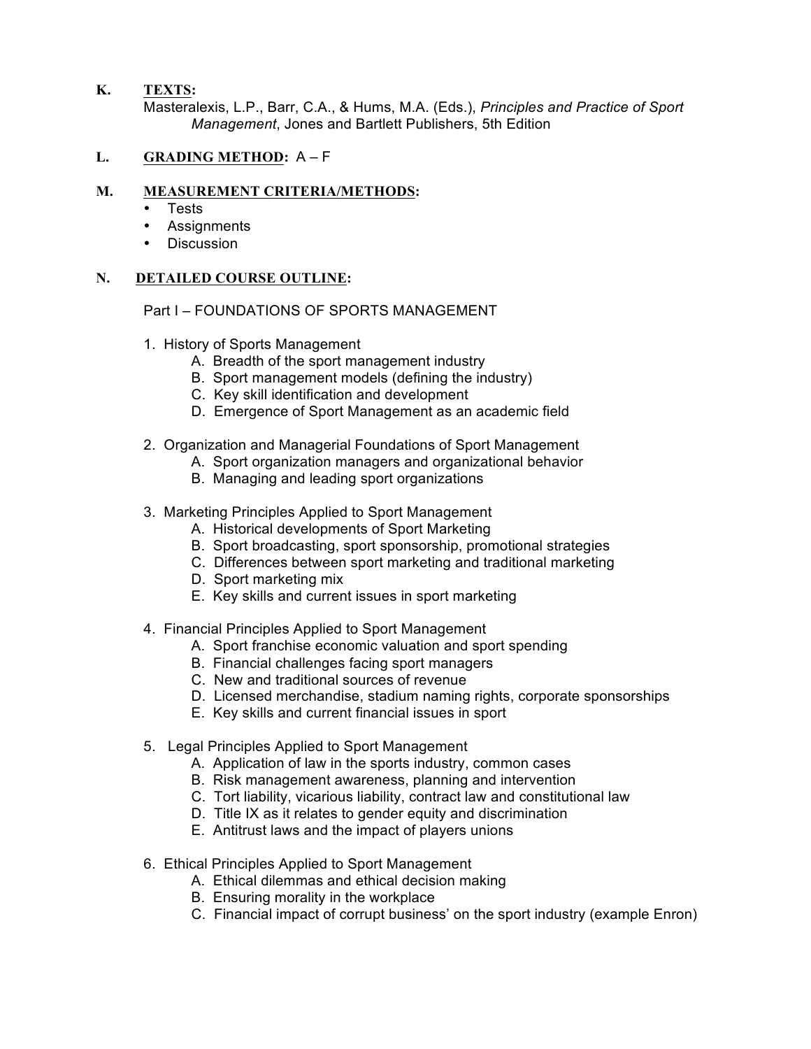**K. TEXTS:** 

 Masteralexis, L.P., Barr, C.A., & Hums, M.A. (Eds.), *Principles and Practice of Sport Management*, Jones and Bartlett Publishers, 5th Edition

## **L. GRADING METHOD:** A – F

#### **M. MEASUREMENT CRITERIA/METHODS:**

- Tests
- Assignments
- Discussion

#### **N. DETAILED COURSE OUTLINE:**

Part I – FOUNDATIONS OF SPORTS MANAGEMENT

- 1. History of Sports Management
	- A. Breadth of the sport management industry
	- B. Sport management models (defining the industry)
	- C. Key skill identification and development
	- D. Emergence of Sport Management as an academic field
- 2. Organization and Managerial Foundations of Sport Management
	- A. Sport organization managers and organizational behavior
	- B. Managing and leading sport organizations
- 3. Marketing Principles Applied to Sport Management
	- A. Historical developments of Sport Marketing
	- B. Sport broadcasting, sport sponsorship, promotional strategies
	- C. Differences between sport marketing and traditional marketing
	- D. Sport marketing mix
	- E. Key skills and current issues in sport marketing
- 4. Financial Principles Applied to Sport Management
	- A. Sport franchise economic valuation and sport spending
	- B. Financial challenges facing sport managers
	- C. New and traditional sources of revenue
	- D. Licensed merchandise, stadium naming rights, corporate sponsorships
	- E. Key skills and current financial issues in sport
- 5. Legal Principles Applied to Sport Management
	- A. Application of law in the sports industry, common cases
	- B. Risk management awareness, planning and intervention
	- C. Tort liability, vicarious liability, contract law and constitutional law
	- D. Title IX as it relates to gender equity and discrimination
	- E. Antitrust laws and the impact of players unions
- 6. Ethical Principles Applied to Sport Management
	- A. Ethical dilemmas and ethical decision making
	- B. Ensuring morality in the workplace
	- C. Financial impact of corrupt business' on the sport industry (example Enron)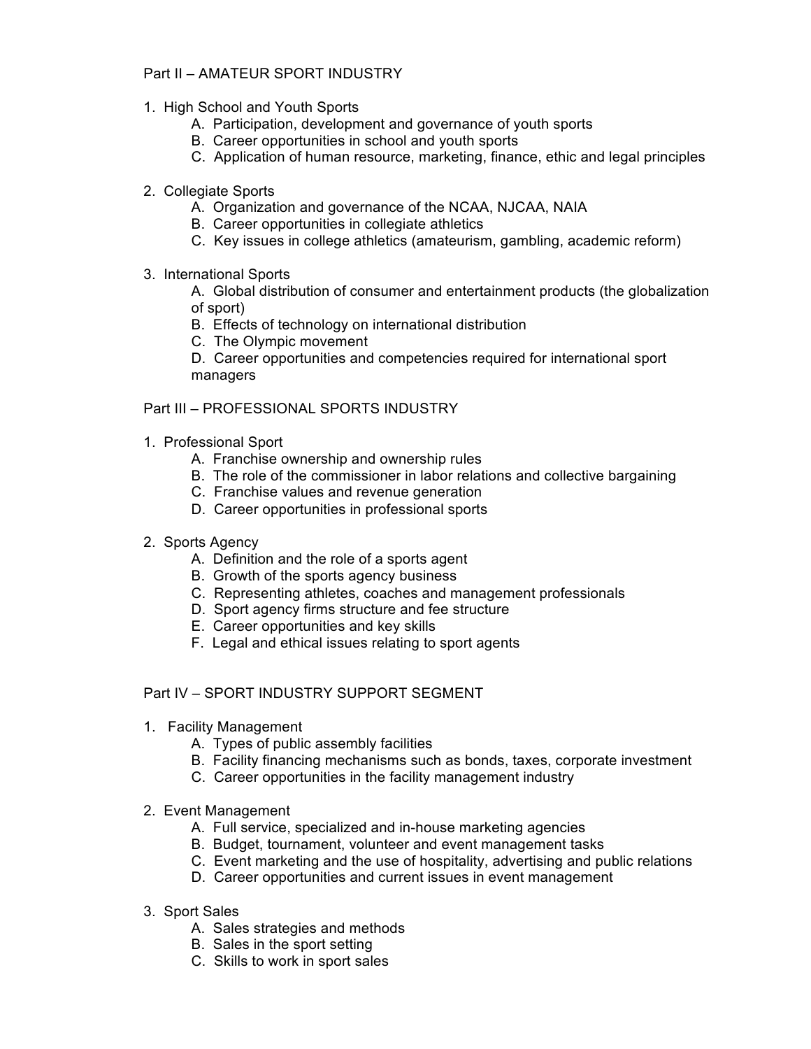# Part II – AMATEUR SPORT INDUSTRY

- 1. High School and Youth Sports
	- A. Participation, development and governance of youth sports
	- B. Career opportunities in school and youth sports
	- C. Application of human resource, marketing, finance, ethic and legal principles
- 2. Collegiate Sports
	- A. Organization and governance of the NCAA, NJCAA, NAIA
	- B. Career opportunities in collegiate athletics
	- C. Key issues in college athletics (amateurism, gambling, academic reform)
- 3. International Sports

 A. Global distribution of consumer and entertainment products (the globalization of sport)

B. Effects of technology on international distribution

C. The Olympic movement

 D. Career opportunities and competencies required for international sport managers

## Part III – PROFESSIONAL SPORTS INDUSTRY

- 1. Professional Sport
	- A. Franchise ownership and ownership rules
	- B. The role of the commissioner in labor relations and collective bargaining
	- C. Franchise values and revenue generation
	- D. Career opportunities in professional sports
- 2. Sports Agency
	- A. Definition and the role of a sports agent
	- B. Growth of the sports agency business
	- C. Representing athletes, coaches and management professionals
	- D. Sport agency firms structure and fee structure
	- E. Career opportunities and key skills
	- F. Legal and ethical issues relating to sport agents

Part IV – SPORT INDUSTRY SUPPORT SEGMENT

- 1. Facility Management
	- A. Types of public assembly facilities
	- B. Facility financing mechanisms such as bonds, taxes, corporate investment
	- C. Career opportunities in the facility management industry
- 2. Event Management
	- A. Full service, specialized and in-house marketing agencies
	- B. Budget, tournament, volunteer and event management tasks
	- C. Event marketing and the use of hospitality, advertising and public relations
	- D. Career opportunities and current issues in event management
- 3. Sport Sales
	- A. Sales strategies and methods
	- B. Sales in the sport setting
	- C. Skills to work in sport sales